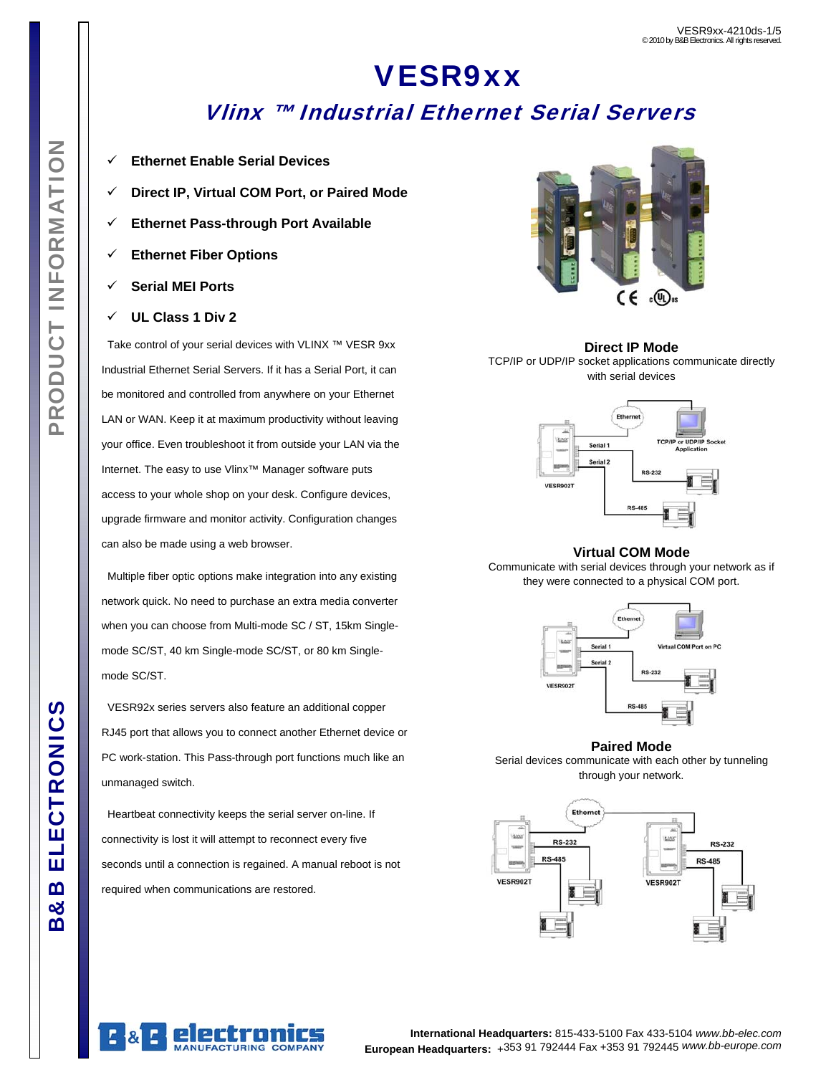# VESR9xx Vlinx ™ Industrial Ethernet Serial Servers

- 9 **Ethernet Enable Serial Devices**
- 9 **Direct IP, Virtual COM Port, or Paired Mode**
- 9 **Ethernet Pass-through Port Available**
- 9 **Ethernet Fiber Options**
- 9 **Serial MEI Ports**
- 9 **UL Class 1 Div 2**

 Take control of your serial devices with VLINX ™ VESR 9xx Industrial Ethernet Serial Servers. If it has a Serial Port, it can be monitored and controlled from anywhere on your Ethernet LAN or WAN. Keep it at maximum productivity without leaving your office. Even troubleshoot it from outside your LAN via the Internet. The easy to use Vlinx™ Manager software puts access to your whole shop on your desk. Configure devices, upgrade firmware and monitor activity. Configuration changes can also be made using a web browser.

 Multiple fiber optic options make integration into any existing network quick. No need to purchase an extra media converter when you can choose from Multi-mode SC / ST, 15km Singlemode SC/ST, 40 km Single-mode SC/ST, or 80 km Singlemode SC/ST.

 VESR92x series servers also feature an additional copper RJ45 port that allows you to connect another Ethernet device or PC work-station. This Pass-through port functions much like an unmanaged switch.

 Heartbeat connectivity keeps the serial server on-line. If connectivity is lost it will attempt to reconnect every five seconds until a connection is regained. A manual reboot is not required when communications are restored.



### **Direct IP Mode**  TCP/IP or UDP/IP socket applications communicate directly with serial devices



### **Virtual COM Mode**

Communicate with serial devices through your network as if they were connected to a physical COM port.



**Paired Mode** 

Serial devices communicate with each other by tunneling through your network.





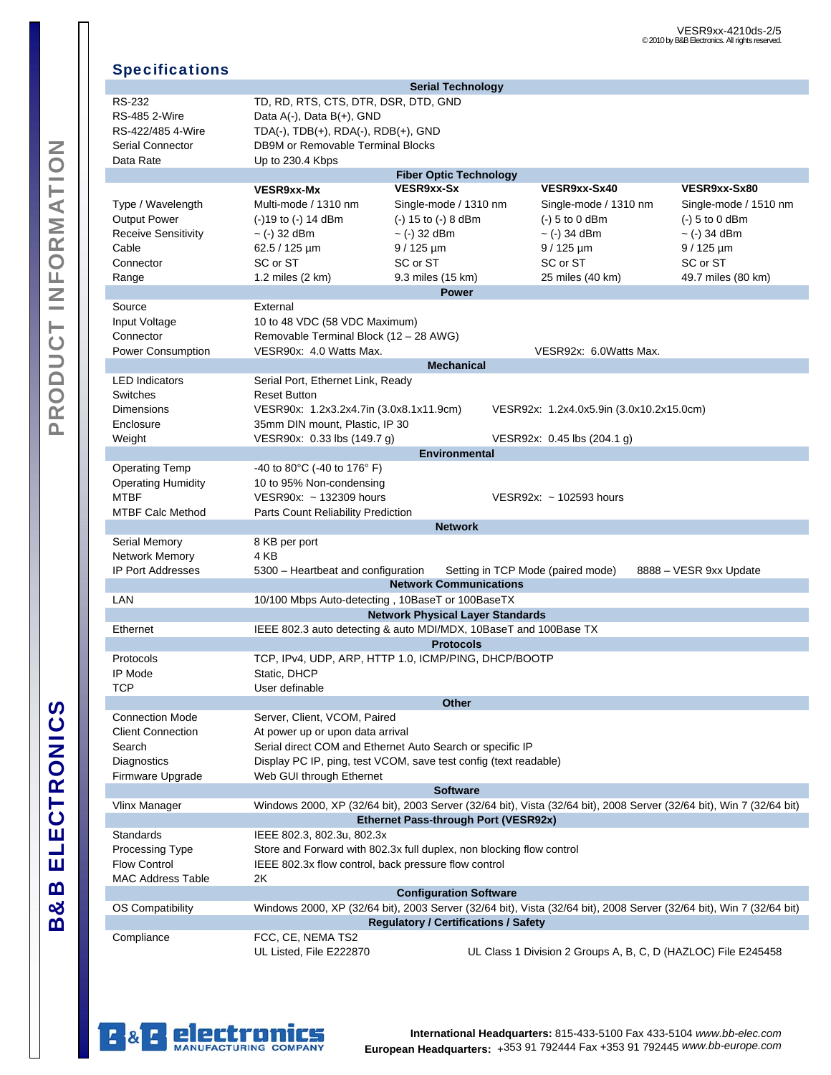### Specifications

|                                                                                                                                          |                                                                      | <b>Serial Technology</b>                                         |                                                                                                                      |                        |  |  |
|------------------------------------------------------------------------------------------------------------------------------------------|----------------------------------------------------------------------|------------------------------------------------------------------|----------------------------------------------------------------------------------------------------------------------|------------------------|--|--|
| <b>RS-232</b>                                                                                                                            | TD, RD, RTS, CTS, DTR, DSR, DTD, GND                                 |                                                                  |                                                                                                                      |                        |  |  |
| <b>RS-485 2-Wire</b>                                                                                                                     | Data A(-), Data B(+), GND                                            |                                                                  |                                                                                                                      |                        |  |  |
| RS-422/485 4-Wire                                                                                                                        |                                                                      | TDA(-), TDB(+), RDA(-), RDB(+), GND                              |                                                                                                                      |                        |  |  |
| Serial Connector                                                                                                                         | DB9M or Removable Terminal Blocks                                    |                                                                  |                                                                                                                      |                        |  |  |
|                                                                                                                                          |                                                                      |                                                                  |                                                                                                                      |                        |  |  |
| Data Rate                                                                                                                                | Up to 230.4 Kbps                                                     |                                                                  |                                                                                                                      |                        |  |  |
|                                                                                                                                          |                                                                      | <b>Fiber Optic Technology</b>                                    |                                                                                                                      |                        |  |  |
|                                                                                                                                          | VESR9xx-Mx                                                           | VESR9xx-Sx                                                       | VESR9xx-Sx40                                                                                                         | VESR9xx-Sx80           |  |  |
| Type / Wavelength                                                                                                                        | Multi-mode / 1310 nm                                                 | Single-mode / 1310 nm                                            | Single-mode / 1310 nm                                                                                                | Single-mode / 1510 nm  |  |  |
| Output Power                                                                                                                             | $(-)19$ to $(-)$ 14 dBm                                              | (-) 15 to (-) 8 dBm                                              | $(-)$ 5 to 0 dBm                                                                                                     | $(-)$ 5 to 0 dBm       |  |  |
| <b>Receive Sensitivity</b>                                                                                                               | $\sim$ (-) 32 dBm                                                    | $\sim$ (-) 32 dBm                                                | $\sim$ (-) 34 dBm                                                                                                    | $\sim$ (-) 34 dBm      |  |  |
| Cable                                                                                                                                    | 62.5 / 125 µm                                                        | $9/125 \,\mathrm{\upmu m}$                                       | $9/125 \mu m$                                                                                                        | $9/125 \mu m$          |  |  |
| Connector                                                                                                                                | SC or ST                                                             | SC or ST                                                         | SC or ST                                                                                                             | SC or ST               |  |  |
| Range                                                                                                                                    | 1.2 miles $(2 \text{ km})$                                           | 9.3 miles (15 km)                                                | 25 miles (40 km)                                                                                                     | 49.7 miles (80 km)     |  |  |
|                                                                                                                                          |                                                                      | <b>Power</b>                                                     |                                                                                                                      |                        |  |  |
| Source                                                                                                                                   | External                                                             |                                                                  |                                                                                                                      |                        |  |  |
| Input Voltage                                                                                                                            | 10 to 48 VDC (58 VDC Maximum)                                        |                                                                  |                                                                                                                      |                        |  |  |
|                                                                                                                                          |                                                                      |                                                                  |                                                                                                                      |                        |  |  |
| Connector                                                                                                                                | Removable Terminal Block (12 - 28 AWG)                               |                                                                  |                                                                                                                      |                        |  |  |
| <b>Power Consumption</b>                                                                                                                 | VESR90x: 4.0 Watts Max.                                              |                                                                  | VESR92x: 6.0Watts Max.                                                                                               |                        |  |  |
|                                                                                                                                          |                                                                      | <b>Mechanical</b>                                                |                                                                                                                      |                        |  |  |
| <b>LED Indicators</b>                                                                                                                    | Serial Port, Ethernet Link, Ready                                    |                                                                  |                                                                                                                      |                        |  |  |
| Switches                                                                                                                                 | <b>Reset Button</b>                                                  |                                                                  |                                                                                                                      |                        |  |  |
| <b>Dimensions</b>                                                                                                                        | VESR90x: 1.2x3.2x4.7in (3.0x8.1x11.9cm)                              |                                                                  | VESR92x: 1.2x4.0x5.9in (3.0x10.2x15.0cm)                                                                             |                        |  |  |
| Enclosure                                                                                                                                | 35mm DIN mount, Plastic, IP 30                                       |                                                                  |                                                                                                                      |                        |  |  |
| Weight                                                                                                                                   | VESR90x: 0.33 lbs (149.7 g)                                          |                                                                  | VESR92x: 0.45 lbs (204.1 g)                                                                                          |                        |  |  |
|                                                                                                                                          |                                                                      | <b>Environmental</b>                                             |                                                                                                                      |                        |  |  |
| <b>Operating Temp</b>                                                                                                                    | -40 to 80 $^{\circ}$ C (-40 to 176 $^{\circ}$ F)                     |                                                                  |                                                                                                                      |                        |  |  |
| <b>Operating Humidity</b>                                                                                                                | 10 to 95% Non-condensing                                             |                                                                  |                                                                                                                      |                        |  |  |
| <b>MTBF</b>                                                                                                                              | VESR90x: ~ 132309 hours                                              |                                                                  | VESR92x: ~ 102593 hours                                                                                              |                        |  |  |
| <b>MTBF Calc Method</b>                                                                                                                  | Parts Count Reliability Prediction                                   |                                                                  |                                                                                                                      |                        |  |  |
|                                                                                                                                          |                                                                      | <b>Network</b>                                                   |                                                                                                                      |                        |  |  |
|                                                                                                                                          |                                                                      |                                                                  |                                                                                                                      |                        |  |  |
| Serial Memory                                                                                                                            | 8 KB per port                                                        |                                                                  |                                                                                                                      |                        |  |  |
| <b>Network Memory</b>                                                                                                                    | 4 KB                                                                 |                                                                  |                                                                                                                      |                        |  |  |
| <b>IP Port Addresses</b>                                                                                                                 | 5300 – Heartbeat and configuration                                   |                                                                  | Setting in TCP Mode (paired mode)                                                                                    | 8888 - VESR 9xx Update |  |  |
|                                                                                                                                          |                                                                      | <b>Network Communications</b>                                    |                                                                                                                      |                        |  |  |
| LAN                                                                                                                                      |                                                                      | 10/100 Mbps Auto-detecting, 10BaseT or 100BaseTX                 |                                                                                                                      |                        |  |  |
|                                                                                                                                          |                                                                      | <b>Network Physical Layer Standards</b>                          |                                                                                                                      |                        |  |  |
| Ethernet                                                                                                                                 |                                                                      | IEEE 802.3 auto detecting & auto MDI/MDX, 10BaseT and 100Base TX |                                                                                                                      |                        |  |  |
|                                                                                                                                          |                                                                      | <b>Protocols</b>                                                 |                                                                                                                      |                        |  |  |
| Protocols                                                                                                                                |                                                                      | TCP, IPv4, UDP, ARP, HTTP 1.0, ICMP/PING, DHCP/BOOTP             |                                                                                                                      |                        |  |  |
| IP Mode                                                                                                                                  | Static, DHCP                                                         |                                                                  |                                                                                                                      |                        |  |  |
| <b>TCP</b>                                                                                                                               | User definable                                                       |                                                                  |                                                                                                                      |                        |  |  |
|                                                                                                                                          |                                                                      | <b>Other</b>                                                     |                                                                                                                      |                        |  |  |
| <b>Connection Mode</b>                                                                                                                   | Server, Client, VCOM, Paired                                         |                                                                  |                                                                                                                      |                        |  |  |
| <b>Client Connection</b>                                                                                                                 | At power up or upon data arrival                                     |                                                                  |                                                                                                                      |                        |  |  |
|                                                                                                                                          |                                                                      |                                                                  |                                                                                                                      |                        |  |  |
| Search                                                                                                                                   |                                                                      | Serial direct COM and Ethernet Auto Search or specific IP        |                                                                                                                      |                        |  |  |
| Diagnostics                                                                                                                              |                                                                      | Display PC IP, ping, test VCOM, save test config (text readable) |                                                                                                                      |                        |  |  |
| Firmware Upgrade                                                                                                                         | Web GUI through Ethernet                                             |                                                                  |                                                                                                                      |                        |  |  |
|                                                                                                                                          |                                                                      | <b>Software</b>                                                  |                                                                                                                      |                        |  |  |
| <b>Vlinx Manager</b>                                                                                                                     |                                                                      |                                                                  | Windows 2000, XP (32/64 bit), 2003 Server (32/64 bit), Vista (32/64 bit), 2008 Server (32/64 bit), Win 7 (32/64 bit) |                        |  |  |
|                                                                                                                                          |                                                                      | Ethernet Pass-through Port (VESR92x)                             |                                                                                                                      |                        |  |  |
| Standards                                                                                                                                | IEEE 802.3, 802.3u, 802.3x                                           |                                                                  |                                                                                                                      |                        |  |  |
| Processing Type                                                                                                                          | Store and Forward with 802.3x full duplex, non blocking flow control |                                                                  |                                                                                                                      |                        |  |  |
| <b>Flow Control</b>                                                                                                                      | IEEE 802.3x flow control, back pressure flow control                 |                                                                  |                                                                                                                      |                        |  |  |
| <b>MAC Address Table</b>                                                                                                                 | 2K                                                                   |                                                                  |                                                                                                                      |                        |  |  |
|                                                                                                                                          |                                                                      | <b>Configuration Software</b>                                    |                                                                                                                      |                        |  |  |
| OS Compatibility<br>Windows 2000, XP (32/64 bit), 2003 Server (32/64 bit), Vista (32/64 bit), 2008 Server (32/64 bit), Win 7 (32/64 bit) |                                                                      |                                                                  |                                                                                                                      |                        |  |  |
| <b>Regulatory / Certifications / Safety</b>                                                                                              |                                                                      |                                                                  |                                                                                                                      |                        |  |  |
|                                                                                                                                          |                                                                      |                                                                  |                                                                                                                      |                        |  |  |
| Compliance                                                                                                                               | FCC, CE, NEMA TS2                                                    |                                                                  |                                                                                                                      |                        |  |  |

UL Listed, File E222870 UL Class 1 Division 2 Groups A, B, C, D (HAZLOC) File E245458

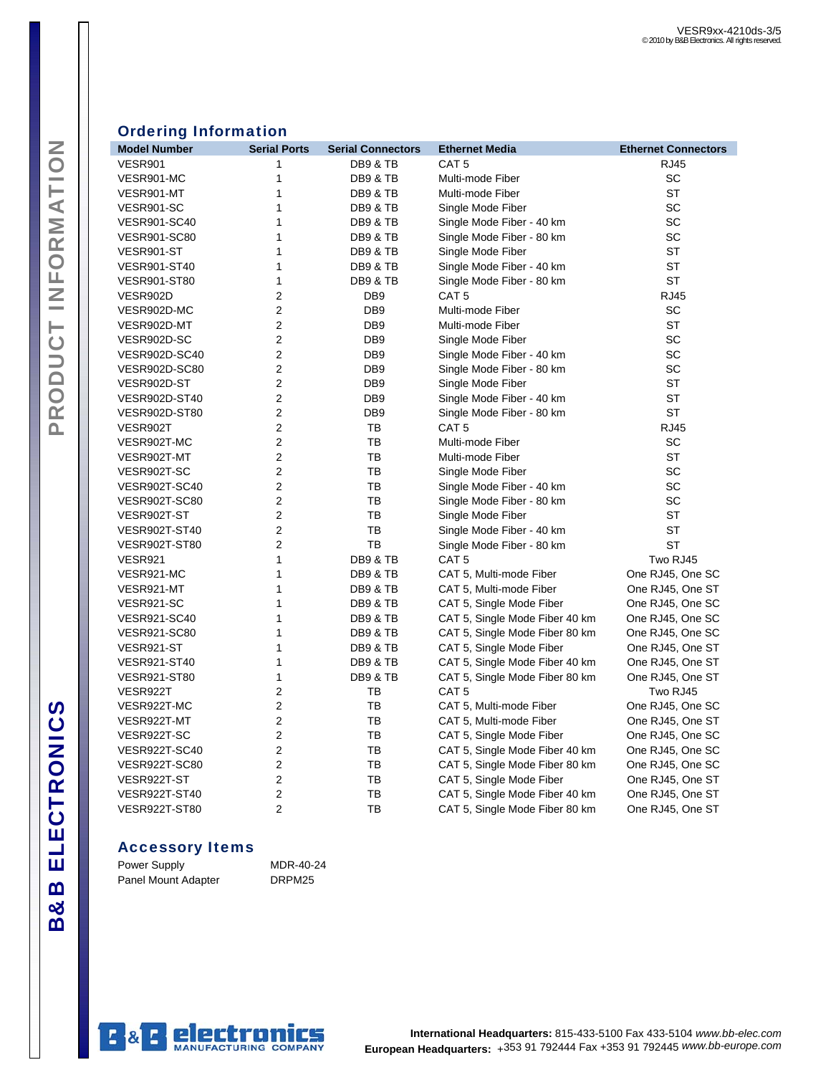# PRODUCT INFORMATION B&B ELECTRONICS PRODUCT INFORMATION

| <b>Ordering Information</b> |
|-----------------------------|
|                             |

| <b>Model Number</b>  | <b>Serial Ports</b> | <b>Serial Connectors</b> | <b>Ethernet Media</b>          | <b>Ethernet Connectors</b> |
|----------------------|---------------------|--------------------------|--------------------------------|----------------------------|
| <b>VESR901</b>       | 1                   | DB9 & TB                 | CAT <sub>5</sub>               | <b>RJ45</b>                |
| VESR901-MC           | 1                   | DB9 & TB                 | Multi-mode Fiber               | <b>SC</b>                  |
| VESR901-MT           | 1                   | DB9 & TB                 | Multi-mode Fiber               | <b>ST</b>                  |
| VESR901-SC           | 1                   | DB9 & TB                 | Single Mode Fiber              | SC                         |
| <b>VESR901-SC40</b>  | 1                   | <b>DB9 &amp; TB</b>      | Single Mode Fiber - 40 km      | SC                         |
| <b>VESR901-SC80</b>  | 1                   | <b>DB9 &amp; TB</b>      | Single Mode Fiber - 80 km      | <b>SC</b>                  |
| VESR901-ST           | 1                   | DB9 & TB                 | Single Mode Fiber              | ST                         |
| <b>VESR901-ST40</b>  | 1                   | DB9 & TB                 | Single Mode Fiber - 40 km      | ST                         |
| <b>VESR901-ST80</b>  | 1                   | DB9 & TB                 | Single Mode Fiber - 80 km      | <b>ST</b>                  |
| VESR902D             | 2                   | DB <sub>9</sub>          | CAT <sub>5</sub>               | <b>RJ45</b>                |
| VESR902D-MC          | $\overline{2}$      | DB <sub>9</sub>          | Multi-mode Fiber               | <b>SC</b>                  |
| VESR902D-MT          | 2                   | DB <sub>9</sub>          | Multi-mode Fiber               | <b>ST</b>                  |
| VESR902D-SC          | $\boldsymbol{2}$    | DB <sub>9</sub>          | Single Mode Fiber              | SC                         |
| VESR902D-SC40        | 2                   | DB <sub>9</sub>          | Single Mode Fiber - 40 km      | <b>SC</b>                  |
| <b>VESR902D-SC80</b> | $\overline{c}$      | DB <sub>9</sub>          | Single Mode Fiber - 80 km      | SC                         |
| VESR902D-ST          | 2                   | DB <sub>9</sub>          | Single Mode Fiber              | <b>ST</b>                  |
| <b>VESR902D-ST40</b> | 2                   | DB <sub>9</sub>          | Single Mode Fiber - 40 km      | <b>ST</b>                  |
| <b>VESR902D-ST80</b> | 2                   | DB <sub>9</sub>          | Single Mode Fiber - 80 km      | <b>ST</b>                  |
| VESR902T             | $\mathbf 2$         | TB                       | CAT <sub>5</sub>               | <b>RJ45</b>                |
| VESR902T-MC          | 2                   | TB                       | Multi-mode Fiber               | SC                         |
| VESR902T-MT          | 2                   | TB                       | Multi-mode Fiber               | <b>ST</b>                  |
| VESR902T-SC          | $\overline{2}$      | TB                       | Single Mode Fiber              | SC                         |
| VESR902T-SC40        | 2                   | TB                       | Single Mode Fiber - 40 km      | SC                         |
| VESR902T-SC80        | $\overline{2}$      | TB                       | Single Mode Fiber - 80 km      | <b>SC</b>                  |
| VESR902T-ST          | $\overline{c}$      | TB                       | Single Mode Fiber              | ST                         |
| <b>VESR902T-ST40</b> | 2                   | TB                       | Single Mode Fiber - 40 km      | <b>ST</b>                  |
| <b>VESR902T-ST80</b> | 2                   | TB                       | Single Mode Fiber - 80 km      | <b>ST</b>                  |
| VESR921              | 1                   | DB9 & TB                 | CAT <sub>5</sub>               | Two RJ45                   |
| VESR921-MC           | 1                   | DB9 & TB                 | CAT 5, Multi-mode Fiber        | One RJ45, One SC           |
| VESR921-MT           | 1                   | <b>DB9 &amp; TB</b>      | CAT 5, Multi-mode Fiber        | One RJ45, One ST           |
| VESR921-SC           | 1                   | DB9 & TB                 | CAT 5, Single Mode Fiber       | One RJ45, One SC           |
| <b>VESR921-SC40</b>  | 1                   | DB9 & TB                 | CAT 5, Single Mode Fiber 40 km | One RJ45, One SC           |
| <b>VESR921-SC80</b>  | 1                   | DB9 & TB                 | CAT 5, Single Mode Fiber 80 km | One RJ45, One SC           |
| VESR921-ST           | 1                   | DB9 & TB                 | CAT 5, Single Mode Fiber       | One RJ45, One ST           |
| <b>VESR921-ST40</b>  | 1                   | <b>DB9 &amp; TB</b>      | CAT 5, Single Mode Fiber 40 km | One RJ45, One ST           |
| <b>VESR921-ST80</b>  | 1                   | DB9 & TB                 | CAT 5, Single Mode Fiber 80 km | One RJ45, One ST           |
| VESR922T             | 2                   | ТB                       | CAT <sub>5</sub>               | Two RJ45                   |
| VESR922T-MC          | 2                   | TB                       | CAT 5, Multi-mode Fiber        | One RJ45, One SC           |
| VESR922T-MT          | $\mathbf 2$         | TВ                       | CAT 5, Multi-mode Fiber        | One RJ45, One ST           |
| VESR922T-SC          | $\overline{2}$      | TB                       | CAT 5, Single Mode Fiber       | One RJ45, One SC           |
| VESR922T-SC40        | $\overline{2}$      | TB                       | CAT 5, Single Mode Fiber 40 km | One RJ45, One SC           |
| VESR922T-SC80        | $\boldsymbol{2}$    | TB                       | CAT 5, Single Mode Fiber 80 km | One RJ45, One SC           |
| VESR922T-ST          | $\mathbf 2$         | TB                       | CAT 5, Single Mode Fiber       | One RJ45, One ST           |
| <b>VESR922T-ST40</b> | $\overline{2}$      | TB                       | CAT 5, Single Mode Fiber 40 km | One RJ45, One ST           |
| <b>VESR922T-ST80</b> | $\overline{2}$      | ТB                       | CAT 5, Single Mode Fiber 80 km | One RJ45, One ST           |

### Accessory Items

| <b>Power Supply</b> | MDR-40-24 |
|---------------------|-----------|
| Panel Mount Adapter | DRPM25    |

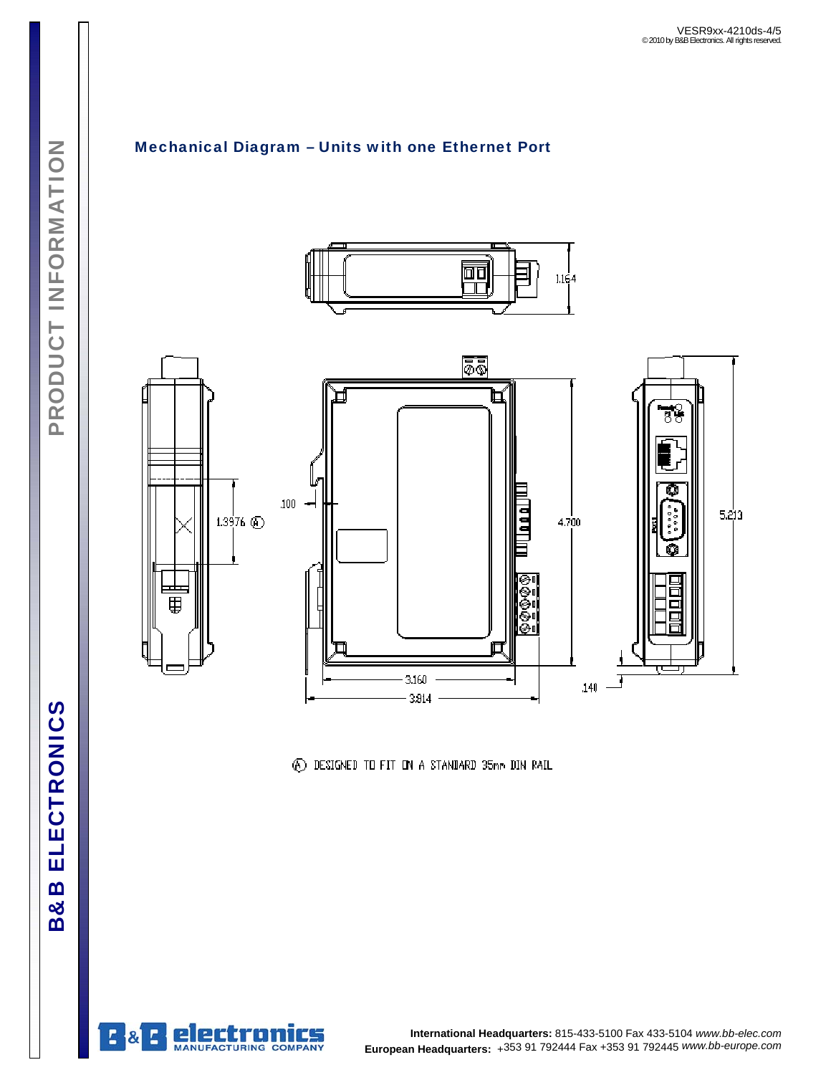

Mechanical Diagram – Units with one Ethernet Port

4 DESIGNED TO FIT ON A STANDARD 35mm DIN RAIL



**B&B ELECTRONICS**